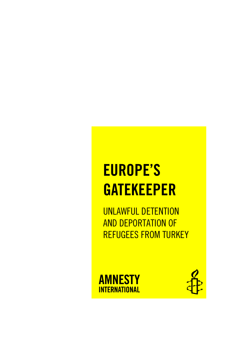# **EUROPE'S GATEKEEPER**

UNLAWFUL DETENTION AND DEPORTATION OF REFUGEES FROM TURKEY



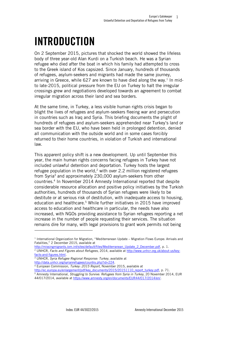## **INTRODUCTION**

On 2 September 2015, pictures that shocked the world showed the lifeless body of three year-old Alan Kurdi on a Turkish beach. He was a Syrian refugee who died after the boat in which his family had attempted to cross to the Greek island of Kos capsized. Since January, hundreds of thousands of refugees, asylum-seekers and migrants had made the same journey, arriving in Greece, while 627 are known to have died along the way. $<sup>1</sup>$  In mid-</sup> to late-2015, political pressure from the EU on Turkey to halt the irregular crossings grew and negotiations developed towards an agreement to combat irregular migration across their land and sea borders.

At the same time, in Turkey, a less visible human rights crisis began to blight the lives of refugees and asylum-seekers fleeing war and persecution in countries such as Iraq and Syria. This briefing documents the plight of hundreds of refugees and asylum-seekers apprehended near Turkey's land or sea border with the EU, who have been held in prolonged detention, denied all communication with the outside world and in some cases forcibly returned to their home countries, in violation of Turkish and international law.

This apparent policy shift is a new development. Up until September this year, the main human rights concerns facing refugees in Turkey have not included unlawful detention and deportation. Turkey hosts the largest refugee population in the world,<sup>2</sup> with over 2.2 million registered refugees from Syria<sup>3</sup> and approximately 230,000 asylum-seekers from other countries. 4 In November 2014 Amnesty International reported that despite considerable resource allocation and positive policy initiatives by the Turkish authorities, hundreds of thousands of Syrian refugees were likely to be destitute or at serious risk of destitution, with inadequate access to housing, education and healthcare. <sup>5</sup> While further initiatives in 2015 have improved access to education and healthcare in particular, the needs have also increased, with NGOs providing assistance to Syrian refugees reporting a net increase in the number of people requesting their services. The situation remains dire for many, with legal provisions to grant work permits not being

- <sup>3</sup> UNHCR, *Syria Refugee Regional Response: Turkey*, available at
- [http://data.unhcr.org/syrianrefugees/country.php?id=224.](http://data.unhcr.org/syrianrefugees/country.php?id=224)

-

- <sup>4</sup> European Commission, *Turkey: 2015 Report*, November 2015, available at
- [http://ec.europa.eu/enlargement/pdf/key\\_documents/2015/20151110\\_report\\_turkey.pdf,](http://ec.europa.eu/enlargement/pdf/key_documents/2015/20151110_report_turkey.pdf) p. 71. <sup>5</sup> Amnesty International, *Struggling to Survive: Refugees from Syria in Turkey*, 20 November 2014, EUR

<sup>1</sup> International Organization for Migration, "Mediterranean Update – Migration Flows Europe: Arrivals and Fatalities," 2 December 2015, available at

[http://missingmigrants.iom.int/sites/default/files/Mediterranean\\_Update\\_2\\_December.pdf,](http://missingmigrants.iom.int/sites/default/files/Mediterranean_Update_2_December.pdf) p. 1.

<sup>2</sup> UNHCR, *Facts and Figures about Refugees*, 2014, available at [http://www.unhcr.org.uk/about-us/key](http://www.unhcr.org.uk/about-us/key-facts-and-figures.html)[facts-and-figures.html.](http://www.unhcr.org.uk/about-us/key-facts-and-figures.html)

<sup>44/017/2014,</sup> available a[t https://www.amnesty.org/en/documents/EUR44/017/2014/en/.](https://www.amnesty.org/en/documents/EUR44/017/2014/en/)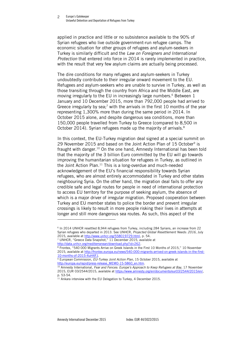2applied in practice and little or no subsistence available to the 90% of Syrian refugees who live outside government-run refugee camps. The economic situation for other groups of refugees and asylum-seekers in Turkey is similarly difficult and the *Law on Foreigners and International Protection* that entered into force in 2014 is rarely implemented in practice, with the result that very few asylum claims are actually being processed.

The dire conditions for many refugees and asylum-seekers in Turkey undoubtedly contribute to their irregular onward movement to the EU. Refugees and asylum-seekers who are unable to survive in Turkey, as well as those transiting through the country from Africa and the Middle East, are moving irregularly to the EU in increasingly large numbers.<sup>6</sup> Between 1 January and 10 December 2015, more than 792,000 people had arrived to Greece irregularly by sea;<sup>7</sup> with the arrivals in the first 10 months of the year representing 1,300% more than during the same period in 2014. In October 2015 alone, and despite dangerous sea conditions, more than 150,000 people travelled from Turkey to Greece (compared to 8,500 in October 2014). Syrian refugees made up the majority of arrivals.<sup>8</sup>

In this context, the EU-Turkey migration deal signed at a special summit on 29 November 2015 and based on the Joint Action Plan of 15 October<sup>9</sup> is fraught with danger.<sup>10</sup> On the one hand, Amnesty International has been told that the majority of the 3 billion Euro committed by the EU will go towards improving the humanitarian situation for refugees in Turkey, as outlined in the Joint Action Plan.<sup>11</sup> This is a long-overdue and much-needed acknowledgement of the EU's financial responsibility towards Syrian refugees, who are almost entirely accommodated in Turkey and other states neighbouring Syria. On the other hand, the migration deal fails to offer any credible safe and legal routes for people in need of international protection to access EU territory for the purpose of seeking asylum, the absence of which is a major driver of irregular migration. Proposed cooperation between Turkey and EU member states to police the border and prevent irregular crossings is likely to result in more people risking their lives in attempts at longer and still more dangerous sea routes. As such, this aspect of the

j

<sup>6</sup> In 2014 UNHCR resettled 8,944 refugees from Turkey, including 284 Syrians, an increase from 22 Syrian refugees who departed in 2013. See UNHCR, *Projected Global Resettlement Needs: 2016*, July 2015, available a[t http://www.unhcr.org/558019729.html,](http://www.unhcr.org/558019729.html) p. 54.

<sup>7</sup> UNHCR, "Greece Data Snapshot," 11 December 2015, available at

[http://data.unhcr.org/mediterranean/download.php?id=262.](http://data.unhcr.org/mediterranean/download.php?id=262)

<sup>8</sup> Frontex, "540 000 Migrants Arrive on Greek Islands in the First 10 Months of 2015," 10 November 2015, available a[t http://frontex.europa.eu/news/540-000-migrants-arrived-on-greek-islands-in-the-first-](http://frontex.europa.eu/news/540-000-migrants-arrived-on-greek-islands-in-the-first-10-months-of-2015-4uH4FJ)[10-months-of-2015-4uH4FJ.](http://frontex.europa.eu/news/540-000-migrants-arrived-on-greek-islands-in-the-first-10-months-of-2015-4uH4FJ)

<sup>9</sup> European Commission, *EU-Turkey Joint Action Plan*, 15 October 2015, available at [http://europa.eu/rapid/press-release\\_MEMO-15-5860\\_en.htm.](http://europa.eu/rapid/press-release_MEMO-15-5860_en.htm)

<sup>10</sup> Amnesty International, *Fear and Fences: Europe's Approach to Keep Refugees at Bay*, 17 November 2015, EUR 03/2544/2015, available at [https://www.amnesty.org/en/documents/eur03/2544/2015/en/,](https://www.amnesty.org/en/documents/eur03/2544/2015/en/) p. 53-54.

 $11$  Ankara interview with the EU Delegation to Turkey, 4 December 2015.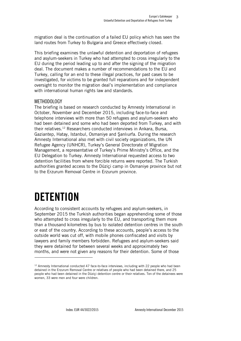migration deal is the continuation of a failed EU policy which has seen the land routes from Turkey to Bulgaria and Greece effectively closed.

This briefing examines the unlawful detention and deportation of refugees and asylum-seekers in Turkey who had attempted to cross irregularly to the EU during the period leading up to and after the signing of the migration deal. The document makes a number of recommendations to the EU and Turkey, calling for an end to these illegal practices, for past cases to be investigated, for victims to be granted full reparations and for independent oversight to monitor the migration deal's implementation and compliance with international human rights law and standards.

#### METHODOLOGY

The briefing is based on research conducted by Amnesty International in October, November and December 2015, including face-to-face and telephone interviews with more than 50 refugees and asylum-seekers who had been detained and some who had been deported from Turkey, and with their relatives.<sup>12</sup> Researchers conducted interviews in Ankara, Bursa, Gaziantep, Hatay, Istanbul, Osmaniye and Şanlıurfa. During the research Amnesty International also met with civil society organizations, the UN Refugee Agency (UNHCR), Turkey's General Directorate of Migration Management, a representative of Turkey's Prime Ministry's Office, and the EU Delegation to Turkey. Amnesty International requested access to two detention facilities from where forcible returns were reported. The Turkish authorities granted access to the Düziçi camp in Osmaniye province but not to the Erzurum Removal Centre in Erzurum province.

### **DETENTION**

-

According to consistent accounts by refugees and asylum-seekers, in September 2015 the Turkish authorities began apprehending some of those who attempted to cross irregularly to the EU, and transporting them more than a thousand kilometres by bus to isolated detention centres in the south or east of the country. According to these accounts, people's access to the outside world was cut off, with mobile phones confiscated and visits by lawyers and family members forbidden. Refugees and asylum-seekers said they were detained for between several weeks and approximately two months, and were not given any reasons for their detention. Some of those

 $12$  Amnesty International conducted 47 face-to-face interviews, including with 22 people who had been detained in the Erzurum Removal Centre or relatives of people who had been detained there, and 25 people who had been detained in the Düziçi detention centre or their relatives. Ten of the detainees were women, 33 were men and four were children.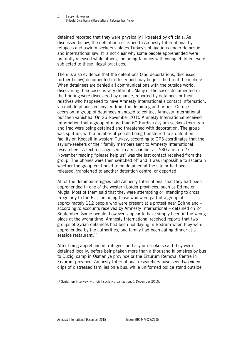4detained reported that they were physically ill-treated by officials. As discussed below, the detention described to Amnesty International by refugees and asylum-seekers violates Turkey's obligations under domestic and international law. It is not clear why some people apprehended were promptly released while others, including families with young children, were subjected to these illegal practices.

There is also evidence that the detentions (and deportations, discussed further below) documented in this report may be just the tip of the iceberg. When detainees are denied all communications with the outside world, discovering their cases is very difficult. Many of the cases documented in the briefing were discovered by chance, reported by detainees or their relatives who happened to have Amnesty International's contact information, via mobile phones concealed from the detaining authorities. On one occasion, a group of detainees managed to contact Amnesty International but then vanished. On 26 November 2015 Amnesty International received information that a group of more than 60 Kurdish asylum-seekers from Iran and Iraq were being detained and threatened with deportation. The group was split up, with a number of people being transferred to a detention facility on Kocaeli in western Turkey, according to GPS coordinates that the asylum-seekers or their family members sent to Amnesty International researchers. A text message sent to a researcher at 2:30 a.m. on 27 November reading "please help us" was the last contact received from the group. The phones were then switched off and it was impossible to ascertain whether the group continued to be detained at the site or had been released, transferred to another detention centre, or deported.

All of the detained refugees told Amnesty International that they had been apprehended in one of the western border provinces, such as Edirne or Muğla. Most of them said that they were attempting or intending to cross irregularly to the EU, including those who were part of a group of approximately 112 people who were present at a protest near Edirne and – according to accounts received by Amnesty International – detained on 24 September. Some people, however, appear to have simply been in the wrong place at the wrong time; Amnesty International received reports that two groups of Syrian detainees had been holidaying in Bodrum when they were apprehended by the authorities; one family had been eating dinner at a seaside restaurant.<sup>13</sup>

After being apprehended, refugees and asylum-seekers said they were detained locally, before being taken more than a thousand kilometres by bus to Düziçi camp in Osmaniye province or the Erzurum Removal Centre in Erzurum province. Amnesty International researchers have seen two video clips of distressed families on a bus, while uniformed police stand outside,

l

<sup>&</sup>lt;sup>13</sup> Gaziantep interview with civil society organization, 1 December 2015.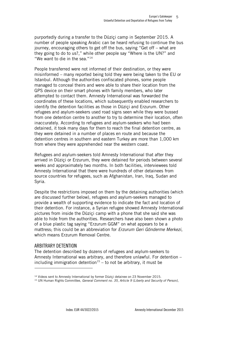purportedly during a transfer to the Düziçi camp in September 2015. A number of people speaking Arabic can be heard refusing to continue the bus journey, encouraging others to get off the bus, saying "Get off – what are they going to do to us?," while other people say "Where is the UN?" and "We want to die in the sea." $14$ 

People transferred were not informed of their destination, or they were misinformed – many reported being told they were being taken to the EU or Istanbul. Although the authorities confiscated phones, some people managed to conceal theirs and were able to share their location from the GPS device on their smart phones with family members, who later attempted to contact them. Amnesty International was forwarded the coordinates of these locations, which subsequently enabled researchers to identify the detention facilities as those in Düziçi and Erzurum. Other refugees and asylum-seekers used road signs seen while they were bussed from one detention centre to another to try to determine their location, often inaccurately. According to refugees and asylum-seekers who had been detained, it took many days for them to reach the final detention centre, as they were detained in a number of places en route and because the detention centres in southern and eastern Turkey are more than 1,000 km from where they were apprehended near the western coast.

Refugees and asylum-seekers told Amnesty International that after they arrived in Düziçi or Erzurum, they were detained for periods between several weeks and approximately two months. In both facilities, interviewees told Amnesty International that there were hundreds of other detainees from source countries for refugees, such as Afghanistan, Iran, Iraq, Sudan and Syria.

Despite the restrictions imposed on them by the detaining authorities (which are discussed further below), refugees and asylum-seekers managed to provide a wealth of supporting evidence to indicate the fact and location of their detention. For instance, a Syrian refugee showed Amnesty International pictures from inside the Düziçi camp with a phone that she said she was able to hide from the authorities. Researchers have also been shown a photo of a blue plastic tag saying "Erzurum GGM" on what appears to be a mattress; this could be an abbreviation for *Erzurum Geri Gönderme Merkezi*, which means Erzurum Removal Centre.

#### ARBITRARY DETENTION

-

The detention described by dozens of refugees and asylum-seekers to Amnesty International was arbitrary, and therefore unlawful. For detention – including immigration detention<sup>15</sup> – to not be arbitrary, it must be

<sup>&</sup>lt;sup>14</sup> Videos sent to Amnesty International by former Düziçi detainee on 23 November 2015.

<sup>15</sup> UN Human Rights Committee*, General Comment no. 35, Article 9 (Liberty and Security of Person)*,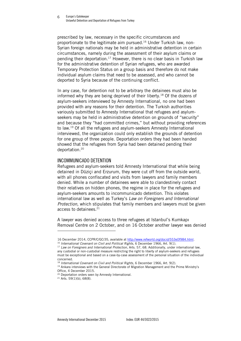prescribed by law, necessary in the specific circumstances and proportionate to the legitimate aim pursued. <sup>16</sup> Under Turkish law, non-Syrian foreign nationals may be held in administrative detention in certain circumstances, namely during the assessment of their asylum claims or pending their deportation.<sup>17</sup> However, there is no clear basis in Turkish law for the administrative detention of Syrian refugees, who are awarded Temporary Protection Status on a group basis and therefore do not make individual asylum claims that need to be assessed, and who cannot be deported to Syria because of the continuing conflict.

In any case, for detention not to be arbitrary the detainees must also be informed why they are being deprived of their liberty. <sup>18</sup> Of the dozens of asylum-seekers interviewed by Amnesty International, no one had been provided with any reasons for their detention. The Turkish authorities variously submitted to Amnesty International that refugees and asylumseekers may be held in administrative detention on grounds of "security" and because they "had committed crimes," but without providing references to law.<sup>19</sup> Of all the refugees and asylum-seekers Amnesty International interviewed, the organization could only establish the grounds of detention for one group of three people. Deportation orders they had been handed showed that the refugees from Syria had been detained pending their deportation.<sup>20</sup>

#### INCOMMUNICADO DETENTION

Refugees and asylum-seekers told Amnesty International that while being detained in Düziçi and Erzurum, they were cut off from the outside world, with all phones confiscated and visits from lawyers and family members denied. While a number of detainees were able to clandestinely contact their relatives on hidden phones, the regime in place for the refugees and asylum-seekers amounts to incommunicado detention. This violates international law as well as Turkey's *Law on Foreigners and International Protection,* which stipulates that family members and lawyers must be given access to detainees. 21

A lawyer was denied access to three refugees at Istanbul's Kumkapı Removal Centre on 2 October, and on 16 October another lawyer was denied

j

<sup>16</sup> December 2014, CCPR/C/GC/35, available a[t http://www.refworld.org/docid/553e0f984.html.](http://www.refworld.org/docid/553e0f984.html)

<sup>16</sup> *International Covenant on Civil and Political Rights*, 6 December 1966, Art. 9(1).

<sup>17</sup> *Law on Foreigners and International Protection*, Arts. 57, 68. Additionally, under international law, any custodial or non-custodial measure restricting the right to liberty of asylum-seekers and refugees must be exceptional and based on a case-by-case assessment of the personal situation of the individual concerned.

<sup>18</sup> *International Covenant on Civil and Political Rights*, 6 December 1966, Art. 9(2).

<sup>&</sup>lt;sup>19</sup> Ankara interviews with the General Directorate of Migration Management and the Prime Ministry's Office, 4 December 2015.

<sup>&</sup>lt;sup>20</sup> Deportation orders seen by Amnesty International.

<sup>21</sup> Arts. 59(1)(b), 68(8).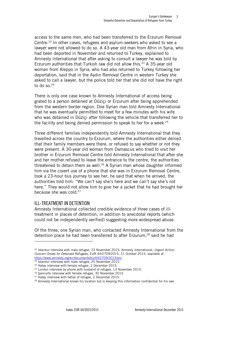access to the same men, who had been transferred to the Erzurum Removal Centre. <sup>22</sup> In other cases, refugees and asylum-seekers who asked to see a lawyer were not allowed to do so. A 43-year old man from Afrin in Syria, who had been deported in November and returned to Turkey, explained to Amnesty International that after asking to consult a lawyer he was told by Erzurum authorities that Turkish law did not allow this. <sup>23</sup> A 35-year old woman from Aleppo in Syria, who had also returned to Turkey following her deportation, said that in the Aydın Removal Centre in western Turkey she asked to call a lawyer, but the police told her that she did not have the right to do so. 24

There is only one case known to Amnesty International of access being grated to a person detained at Düziçi or Erzurum after being apprehended from the western border region. One Syrian man told Amnesty International that he was eventually permitted to meet for a few minutes with his wife who was detained in Düziçi after following the vehicle that transferred her to the facility and being denied permission to speak to her for a week. 25

Three different families independently told Amnesty International that they travelled across the country to Erzurum, where the authorities either denied that their family members were there, or refused to say whether or not they were present. A 30-year old woman from Damascus who tried to visit her brother in Erzurum Removal Centre told Amnesty International that after she and her mother refused to leave the entrance to the centre, the authorities threatened to detain them as well.<sup>26</sup> A Syrian man whose daughter informed him via the covert use of a phone that she was in Erzurum Removal Centre, took a 23-hour bus journey to see her; he said that when he arrived, the authorities told him: "We can't say she's here and we can't say she's not here." They would not allow him to give her a jacket that he had brought her because she was cold.<sup>27</sup>

#### ILL-TREATMENT IN DETENTION

-

Amnesty International collected credible evidence of three cases of illtreatment in places of detention, in addition to anecdotal reports (which could not be independently verified) suggesting more widespread abuse.

Of the three, one Syrian man, who contacted Amnesty International from the detention place he had been transferred to after Erzurum, <sup>28</sup> said he had

<sup>22</sup> Istanbul interview with male refugee, 23 November 2015; Amnesty International, *Urgent Action: Concern Grows for Detained Refugees*, EUR 44/2709/2015, 21 October 2015, available at [https://www.amnesty.org/en/documents/eur44/2709/2015/en/.](https://www.amnesty.org/en/documents/eur44/2709/2015/en/)

<sup>23</sup> Istanbul interview with male refugee, 25 November 2015.

<sup>24</sup> Hatay interview with female refugee, 2 December 2015.

 $25$  London interview by phone with husband of refugee, 13 November 2015.

<sup>26</sup> Şanlıurfa interview with female refugee, 30 November 2015.

<sup>27</sup> Hatay interview with father of refugee, 2 December 2015.

<sup>&</sup>lt;sup>28</sup> Amnesty International knows his location but is keeping this information confidential for his own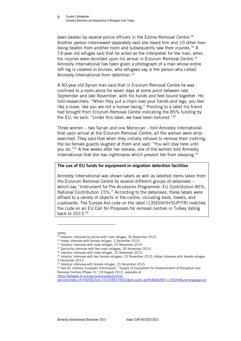been beaten by several police officers in the Edirne Removal Centre.<sup>29</sup> Another person interviewed separately said she heard him and 10 other men being beaten from another room and subsequently saw their injuries.<sup>30</sup> A 19-year old refugee said that he acted as the interpreter for the man, when his injuries were recorded upon his arrival in Erzurum Removal Centre. $31$ Amnesty International has been given a photograph of a man whose entire left leg is covered in bruises, who refugees say is the person who called Amnesty International from detention.<sup>32</sup>

A 40-year old Syrian man said that in Erzurum Removal Centre he was confined to a room alone for seven days at some point between late September and late November, with his hands and feet bound together. He told researchers: "When they put a chain over your hands and legs, you feel like a slave, like you are not a human being." Pointing to a label his friend had brought from Erzurum Removal Centre indicating the 85% funding by the EU, he said: "Under this label, we have been tortured."<sup>33</sup>

Three women – two Syrian and one Moroccan – told Amnesty International that upon arrival at the Erzurum Removal Centre, all the women were stripsearched. They said that when they initially refused to remove their clothing, the six female guards laughed at them and said: "You will stay here until you do."<sup>34</sup> A few weeks after her release, one of the women told Amnesty International that she has nightmares which prevent her from sleeping.<sup>35</sup>

#### **The use of EU funds for equipment in migration detention facilities**

Amnesty International was shown labels as well as labelled items taken from the Erzurum Removal Centre by several different groups of detainees – which say "Instrument for Pre-Accession Programme: EU Contribution 85%, National Contribution 15%." According to the detainees, these labels were affixed to a variety of objects in the centre, including beds, towels, and cupboards. The Europe Aid code on the label (135004/IH/SUP/TR) matches the code on an EU Call for Proposals for removal centres in Turkey dating back to 2013.<sup>36</sup>

j

safety.

<sup>29</sup> Istanbul interview by phone with male refugee, 30 November 2015.

<sup>30</sup> Hatay interview with female refugee, 2 December 2015.

<sup>&</sup>lt;sup>31</sup> Istanbul interview with male refugee, 25 November 2015.

<sup>&</sup>lt;sup>32</sup> Şanlıurfa interview with two male refugees, 30 November 2015.

<sup>33</sup> Istanbul interview with male refugee, 25 November 2015.

<sup>34</sup> Istanbul interview with two female refugees, 25 November 2015; Hatay interview with female refugee, 2 December 2015.

<sup>35</sup> Istanbul interview with female refugee, 10 December 2015.

<sup>&</sup>lt;sup>36</sup> See for instance European Commission, "Supply of Equipment for Establishment of Reception and Removal Centres (Phase II)," 29 August 2013, available at [https://webgate.ec.europa.eu/europeaid/online-](https://webgate.ec.europa.eu/europeaid/online-services/index.cfm?ADSSChck=1415585376922&do=publi.detPUB&AOREF=135004&userlanguage=en)

[services/index.cfm?ADSSChck=1415585376922&do=publi.detPUB&AOREF=135004&userlanguage=en](https://webgate.ec.europa.eu/europeaid/online-services/index.cfm?ADSSChck=1415585376922&do=publi.detPUB&AOREF=135004&userlanguage=en)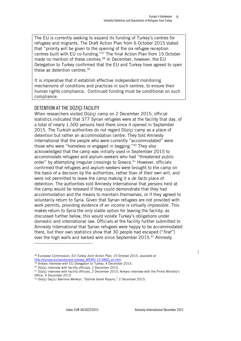The EU is currently seeking to expand its funding of Turkey's centres for refugees and migrants. The Draft Action Plan from 6 October 2015 stated that "priority will be given to the opening of the six refugee reception centres built with EU co-funding."<sup>37</sup> The final Action Plan from 15 October made no mention of these centres.<sup>38</sup> In December, however, the EU Delegation to Turkey confirmed that the EU and Turkey have agreed to open these as detention centres.<sup>39</sup>

It is imperative that it establish effective independent monitoring mechanisms of conditions and practices in such centres, to ensure their human rights compliance. Continued funding must be conditional on such compliance.

#### DETENTION AT THE DÜZIÇI FACILITY

When researchers visited Düziçi camp on 2 December 2015, official statistics indicated that 377 Syrian refugees were at the facility that day, of a total of nearly 1,500 persons held there since it opened in September 2015. The Turkish authorities do not regard Düziçi camp as a place of detention but rather an accommodation centre. They told Amnesty International that the people who were currently "accommodated" were those who were "homeless or engaged in begging." <sup>40</sup> They also acknowledged that the camp was initially used in September 2015 to accommodate refugees and asylum-seekers who had "threatened public order" by attempting irregular crossings to Greece.<sup>41</sup> However, officials confirmed that refugees and asylum-seekers were brought to the camp on the basis of a decision by the authorities, rather than of their own will, and were not permitted to leave the camp making it a *de facto* place of detention. The authorities told Amnesty International that persons held at the camp would be released if they could demonstrate that they had accommodation and the means to maintain themselves, or if they agreed to voluntarily return to Syria. Given that Syrian refugees are not provided with work permits, providing evidence of an income is virtually impossible. This makes return to Syria the only viable option for leaving the facility; as discussed further below, this would violate Turkey's obligations under domestic and international law. Officials at the facility further submitted to Amnesty International that Syrian refugees were happy to be accommodated there, but their own statistics show that 30 people had escaped ("*firar*") over the high walls and barbed wire since September 2015.<sup>42</sup> Amnesty

-

 $\mathsf{l}$ 

<sup>38</sup> European Commission, *EU-Turkey Joint Action Plan*, 15 October 2015, available at [http://europa.eu/rapid/press-release\\_MEMO-15-5860\\_en.htm.](http://europa.eu/rapid/press-release_MEMO-15-5860_en.htm)

<sup>39</sup> Ankara interview with EU Delegation to Turkey, 4 December 2015.

<sup>40</sup> Düziçi interview with facility officials, 2 December 2015.

<sup>41</sup> Düziçi interview with facility officials, 2 December 2015; Ankara interview with the Prime Ministry's Office, 4 December 2015.

<sup>42</sup> Düziçi Geçici Barınma Merkezi, "Günlük Genel Raporu," 2 December 2015.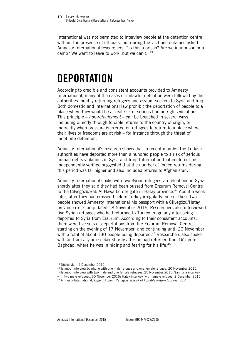International was not permitted to interview people at the detention centre without the presence of officials, but during the visit one detainee asked Amnesty International researchers: "Is this a prison? Are we in a prison or a camp? We want to leave to work, but we can't."43

### **DEPORTATION**

According to credible and consistent accounts provided to Amnesty International, many of the cases of unlawful detention were followed by the authorities forcibly returning refugees and asylum-seekers to Syria and Iraq. Both domestic and international law prohibit the deportation of people to a place where they would be at real risk of serious human rights violations. This principle – *non-refoulement* – can be breached in several ways, including directly through forcible returns to the country of origin, or indirectly when pressure is exerted on refugees to return to a place where their lives or freedoms are at risk – for instance through the threat of indefinite detention.

Amnesty International's research shows that in recent months, the Turkish authorities have deported more than a hundred people to a risk of serious human rights violations in Syria and Iraq. Information that could not be independently verified suggested that the number of forced returns during this period was far higher and also included returns to Afghanistan.

Amnesty International spoke with two Syrian refugees via telephone in Syria, shortly after they said they had been bussed from Erzurum Removal Centre to the Cilvegözü/Bab Al Hawa border gate in Hatay province.<sup>44</sup> About a week later, after they had crossed back to Turkey irregularly, one of these two people showed Amnesty International his passport with a Cilvegözü/Hatay province exit stamp dated 18 November 2015. Researchers also interviewed five Syrian refugees who had returned to Turkey irregularly after being deported to Syria from Erzurum. According to their consistent accounts, there were five sets of deportations from the Erzurum Removal Centre, starting on the evening of 17 November, and continuing until 20 November, with a total of about 130 people being deported.<sup>45</sup> Researchers also spoke with an Iraqi asylum-seeker shortly after he had returned from Düziçi to Baghdad, where he was in hiding and fearing for his life.<sup>46</sup>

l

<sup>43</sup> Düziçi visit, 2 December 2015.

<sup>44</sup> Istanbul interview by phone with one male refugee and one female refugee, 20 November 2015.

<sup>45</sup> Istanbul interview with two male and one female refugees, 25 November 2015; Şanlıurfa interview with two male refugees, 30 November 2015; Hatay interview with female refugee, 2 December 2015.

<sup>46</sup> Amnesty International, *Urgent Action: Refugees at Risk of Forcible Return to Syria*, EUR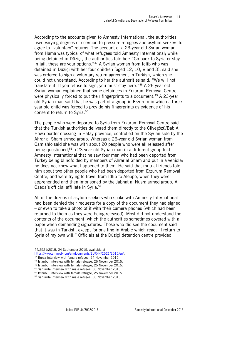According to the accounts given to Amnesty International, the authorities used varying degrees of coercion to pressure refugees and asylum-seekers to agree to "voluntary" returns. The account of a 23-year old Syrian woman from Hama was typical of what refugees told Amnesty International; while being detained in Düziçi, the authorities told her: "Go back to Syria or stay in jail; these are your options." $47$  A Syrian woman from Idlib who was detained in Düziçi with her four children (aged 12, 10, 8 and 3), said she was ordered to sign a voluntary return agreement in Turkish, which she could not understand. According to her the authorities said: "We will not translate it. If you refuse to sign, you must stay here."<sup>48</sup> A 26-year old Syrian woman explained that some detainees in Erzurum Removal Centre were physically forced to put their fingerprints to a document.<sup>49</sup> A 23-year old Syrian man said that he was part of a group in Erzurum in which a threeyear old child was forced to provide his fingerprints as evidence of his consent to return to Syria.<sup>50</sup>

The people who were deported to Syria from Erzurum Removal Centre said that the Turkish authorities delivered them directly to the Cilvegözü/Bab Al Hawa border crossing in Hatay province, controlled on the Syrian side by the Ahrar al Sham armed group. Whereas a 26-year old Syrian woman from Qamishlo said she was with about 20 people who were all released after being questioned,<sup>51</sup> a 23-year old Syrian man in a different group told Amnesty International that he saw four men who had been deported from Turkey being blindfolded by members of Ahrar al Sham and put in a vehicle; he does not know what happened to them. He said that mutual friends told him about two other people who had been deported from Erzurum Removal Centre, and were trying to travel from Idlib to Aleppo, when they were apprehended and then imprisoned by the Jabhat al Nusra armed group, Al Qaeda's official affiliate in Syria.<sup>52</sup>

All of the dozens of asylum-seekers who spoke with Amnesty International had been denied their requests for a copy of the document they had signed – or even to take a photo of it with their camera phones (which had been returned to them as they were being released). Most did not understand the contents of the document, which the authorities sometimes covered with a paper when demanding signatures. Those who did see the document said that it was in Turkish, except for one line in Arabic which read: "I return to Syria of my own will." Officials at the Düziçi detention centre provided

-

<sup>44/2521/2015, 24</sup> September 2015, available at

[https://www.amnesty.org/en/documents/EUR44/2521/2015/en/.](https://www.amnesty.org/en/documents/EUR44/2521/2015/en/)

<sup>47</sup> Bursa interview with female refugee, 24 November 2015.

<sup>48</sup> Istanbul interview with female refugee, 26 November 2015.

<sup>49</sup> Istanbul interview with female refugee, 25 November 2015.

<sup>50</sup> Şanlıurfa interview with male refugee, 30 November 2015.

 $51$  Istanbul interview with female refugee, 25 November 2015.

<sup>52</sup> Şanlıurfa interview with male refugee, 30 November 2015.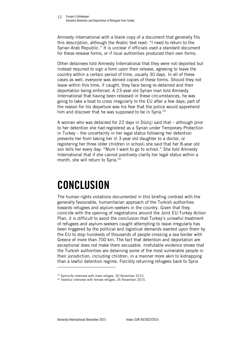Amnesty International with a blank copy of a document that generally fits this description, although the Arabic text read: "I need to return to the Syrian Arab Republic." It is unclear if officials used a standard document for these release forms, or if local authorities produced their own forms.

Other detainees told Amnesty International that they were not deported but instead required to sign a form upon their release, agreeing to leave the country within a certain period of time, usually 30 days. In all of these cases as well, everyone was denied copies of these forms. Should they not leave within this time, if caught, they face being re-detained and their deportation being enforced. A 23-year old Syrian man told Amnesty International that having been released in these circumstances, he was going to take a boat to cross irregularly to the EU after a few days; part of the reason for his departure was his fear that the police would apprehend him and discover that he was supposed to be in Syria.<sup>53</sup>

A woman who was detained for 22 days in Düziçi said that – although prior to her detention she had registered as a Syrian under Temporary Protection in Turkey – the uncertainty in her legal status following her detention prevents her from taking her ill 3-year old daughter to a doctor, or registering her three older children in school; she said that her 8-year old son tells her every day: "Mum I want to go to school." She told Amnesty International that if she cannot positively clarify her legal status within a month, she will return to Syria.<sup>54</sup>

### **CONCLUSION**

The human rights violations documented in this briefing contrast with the generally favourable, humanitarian approach of the Turkish authorities towards refugees and asylum-seekers in the country. Given that they coincide with the opening of negotiations around the Joint EU-Turkey Action Plan, it is difficult to avoid the conclusion that Turkey's unlawful treatment of refugees and asylum-seekers caught attempting to leave irregularly has been triggered by the political and logistical demands exerted upon them by the EU to stop hundreds of thousands of people crossing a sea border with Greece of more than 700 km. The fact that detention and deportation are exceptional does not make them excusable. Irrefutable evidence shows that the Turkish authorities are detaining some of the most vulnerable people in their jurisdiction, including children, in a manner more akin to kidnapping than a lawful detention regime. Forcibly returning refugees back to Syria

l

<sup>53</sup> Şanlıurfa interview with male refugee, 30 November 2015.

<sup>54</sup> Istanbul interview with female refugee, 26 November 2015.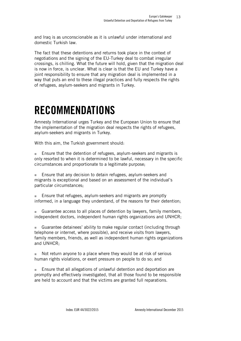and Iraq is as unconscionable as it is unlawful under international and domestic Turkish law.

The fact that these detentions and returns took place in the context of negotiations and the signing of the EU-Turkey deal to combat irregular crossings, is chilling. What the future will hold, given that the migration deal is now in force, is unclear. What is clear is that the EU and Turkey have a joint responsibility to ensure that any migration deal is implemented in a way that puts an end to these illegal practices and fully respects the rights of refugees, asylum-seekers and migrants in Turkey.

### **RECOMMENDATIONS**

Amnesty International urges Turkey and the European Union to ensure that the implementation of the migration deal respects the rights of refugees, asylum-seekers and migrants in Turkey.

With this aim, the Turkish government should:

**Ensure that the detention of refugees, asylum-seekers and migrants is** only resorted to when it is determined to be lawful, necessary in the specific circumstances and proportionate to a legitimate purpose;

**Ensure that any decision to detain refugees, asylum-seekers and** migrants is exceptional and based on an assessment of the individual's particular circumstances;

■ Ensure that refugees, asylum-seekers and migrants are promptly informed, in a language they understand, of the reasons for their detention;

 Guarantee access to all places of detention by lawyers, family members, independent doctors, independent human rights organizations and UNHCR;

 Guarantee detainees' ability to make regular contact (including through telephone or internet, where possible), and receive visits from lawyers, family members, friends, as well as independent human rights organizations and UNHCR;

 Not return anyone to a place where they would be at risk of serious human rights violations, or exert pressure on people to do so; and

■ Ensure that all allegations of unlawful detention and deportation are promptly and effectively investigated, that all those found to be responsible are held to account and that the victims are granted full reparations.